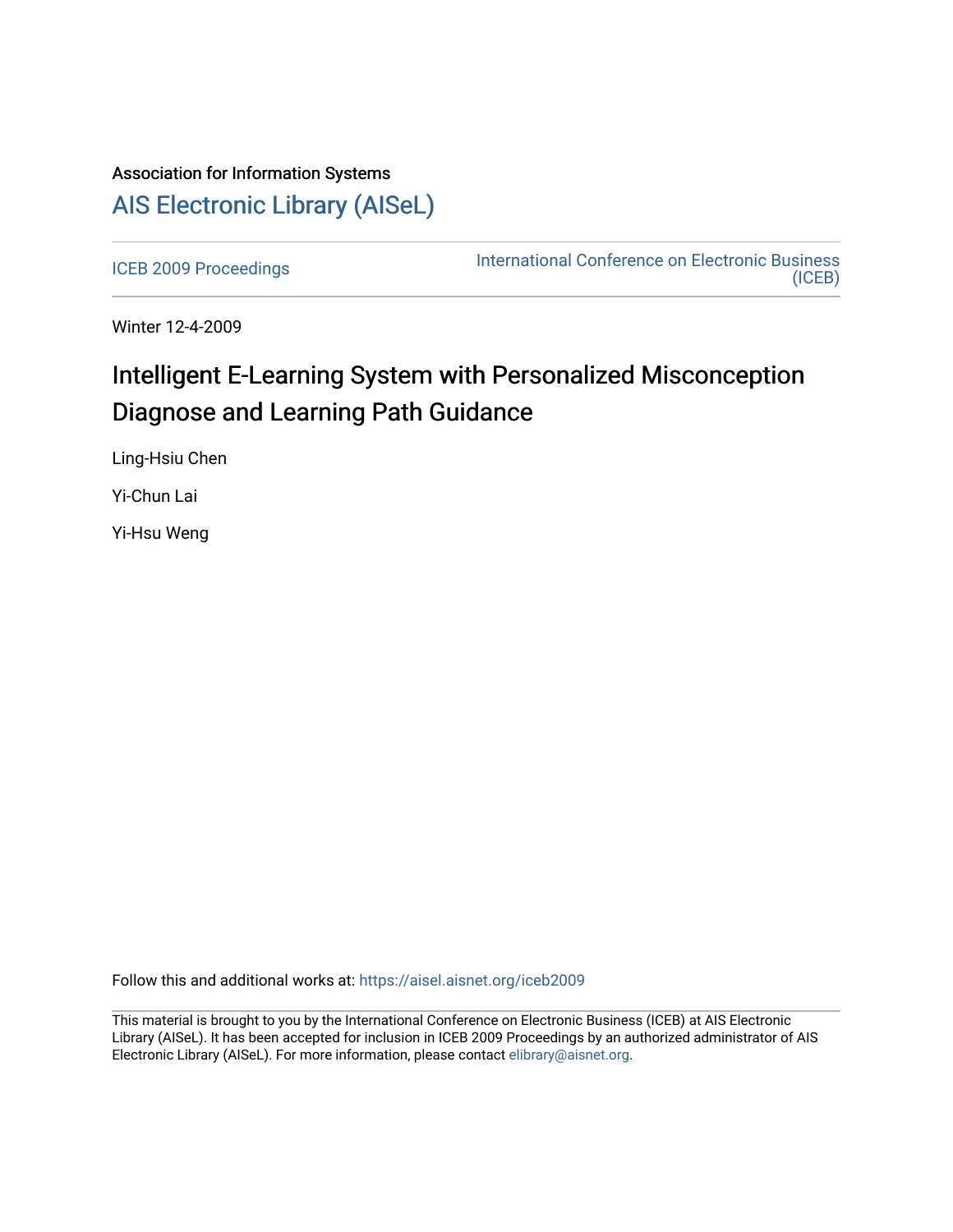# Association for Information Systems [AIS Electronic Library \(AISeL\)](https://aisel.aisnet.org/)

[ICEB 2009 Proceedings](https://aisel.aisnet.org/iceb2009) **International Conference on Electronic Business** [\(ICEB\)](https://aisel.aisnet.org/iceb) 

Winter 12-4-2009

# Intelligent E-Learning System with Personalized Misconception Diagnose and Learning Path Guidance

Ling-Hsiu Chen

Yi-Chun Lai

Yi-Hsu Weng

Follow this and additional works at: [https://aisel.aisnet.org/iceb2009](https://aisel.aisnet.org/iceb2009?utm_source=aisel.aisnet.org%2Ficeb2009%2F38&utm_medium=PDF&utm_campaign=PDFCoverPages)

This material is brought to you by the International Conference on Electronic Business (ICEB) at AIS Electronic Library (AISeL). It has been accepted for inclusion in ICEB 2009 Proceedings by an authorized administrator of AIS Electronic Library (AISeL). For more information, please contact [elibrary@aisnet.org.](mailto:elibrary@aisnet.org%3E)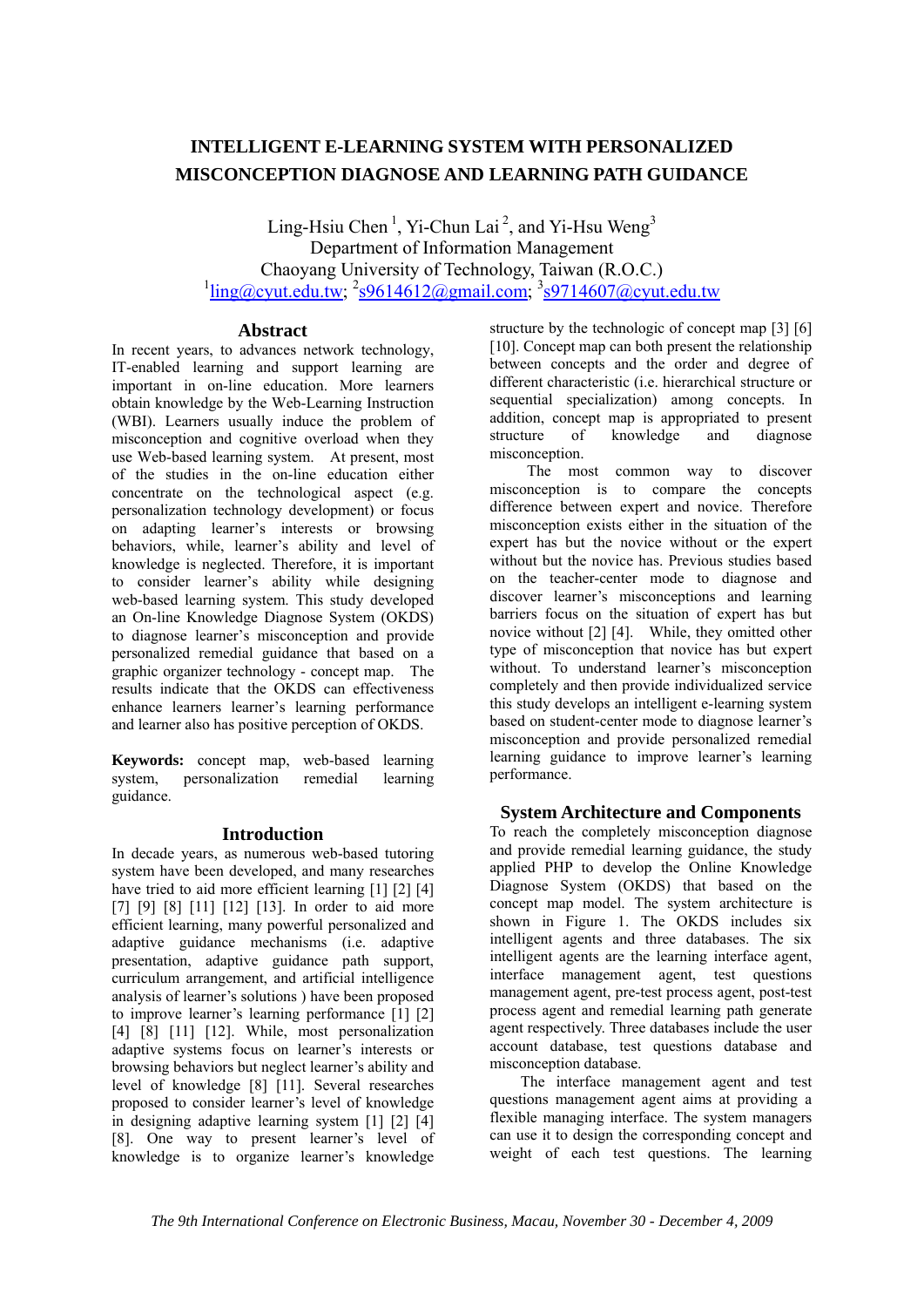# **INTELLIGENT E-LEARNING SYSTEM WITH PERSONALIZED MISCONCEPTION DIAGNOSE AND LEARNING PATH GUIDANCE**

Ling-Hsiu Chen<sup>1</sup>, Yi-Chun Lai<sup>2</sup>, and Yi-Hsu Weng<sup>3</sup> Department of Information Management Chaoyang University of Technology, Taiwan (R.O.C.)  $\frac{1}{\text{ling}(\text{Qcyut.edu.tw}; \frac{2}{59614612(\text{Qgmail.com}; \frac{3}{59714607(\text{Qcyut.edu.tw})})}{3}$ 

# **Abstract**

In recent years, to advances network technology, IT-enabled learning and support learning are important in on-line education. More learners obtain knowledge by the Web-Learning Instruction (WBI). Learners usually induce the problem of misconception and cognitive overload when they use Web-based learning system. At present, most of the studies in the on-line education either concentrate on the technological aspect (e.g. personalization technology development) or focus on adapting learner's interests or browsing behaviors, while, learner's ability and level of knowledge is neglected. Therefore, it is important to consider learner's ability while designing web-based learning system. This study developed an On-line Knowledge Diagnose System (OKDS) to diagnose learner's misconception and provide personalized remedial guidance that based on a graphic organizer technology - concept map. The results indicate that the OKDS can effectiveness enhance learners learner's learning performance and learner also has positive perception of OKDS.

**Keywords:** concept map, web-based learning system, personalization remedial learning guidance.

# **Introduction**

In decade years, as numerous web-based tutoring system have been developed, and many researches have tried to aid more efficient learning [1] [2] [4] [7] [9] [8] [11] [12] [13]. In order to aid more efficient learning, many powerful personalized and adaptive guidance mechanisms (i.e. adaptive presentation, adaptive guidance path support, curriculum arrangement, and artificial intelligence analysis of learner's solutions ) have been proposed to improve learner's learning performance [1] [2] [4] [8] [11] [12]. While, most personalization adaptive systems focus on learner's interests or browsing behaviors but neglect learner's ability and level of knowledge [8] [11]. Several researches proposed to consider learner's level of knowledge in designing adaptive learning system [1] [2] [4] [8]. One way to present learner's level of knowledge is to organize learner's knowledge structure by the technologic of concept map [3] [6] [10]. Concept map can both present the relationship between concepts and the order and degree of different characteristic (i.e. hierarchical structure or sequential specialization) among concepts. In addition, concept map is appropriated to present structure of knowledge and diagnose misconception.

The most common way to discover misconception is to compare the concepts difference between expert and novice. Therefore misconception exists either in the situation of the expert has but the novice without or the expert without but the novice has. Previous studies based on the teacher-center mode to diagnose and discover learner's misconceptions and learning barriers focus on the situation of expert has but novice without [2] [4]. While, they omitted other type of misconception that novice has but expert without. To understand learner's misconception completely and then provide individualized service this study develops an intelligent e-learning system based on student-center mode to diagnose learner's misconception and provide personalized remedial learning guidance to improve learner's learning performance.

# **System Architecture and Components**

To reach the completely misconception diagnose and provide remedial learning guidance, the study applied PHP to develop the Online Knowledge Diagnose System (OKDS) that based on the concept map model. The system architecture is shown in Figure 1. The OKDS includes six intelligent agents and three databases. The six intelligent agents are the learning interface agent, interface management agent, test questions management agent, pre-test process agent, post-test process agent and remedial learning path generate agent respectively. Three databases include the user account database, test questions database and misconception database.

The interface management agent and test questions management agent aims at providing a flexible managing interface. The system managers can use it to design the corresponding concept and weight of each test questions. The learning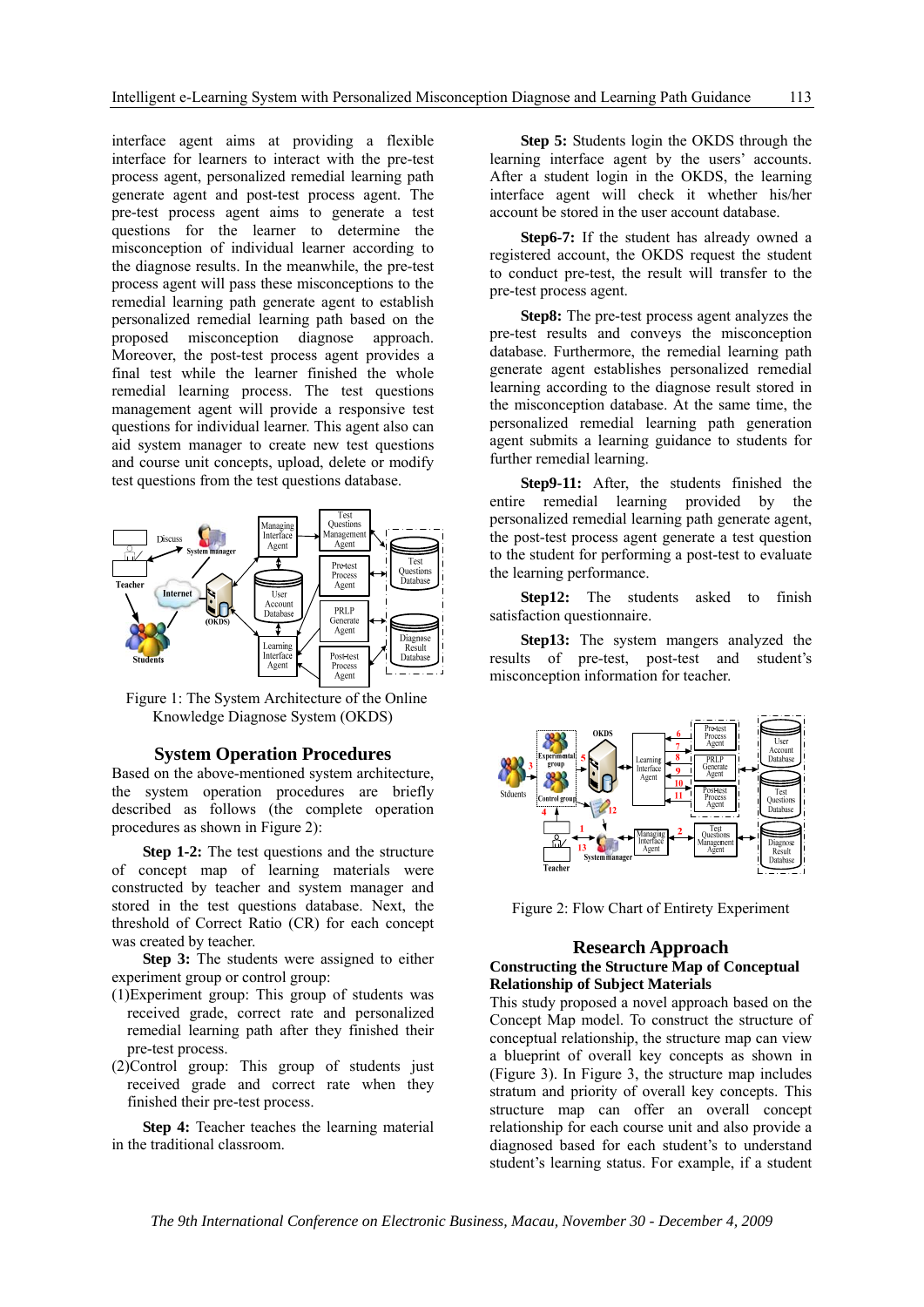interface agent aims at providing a flexible interface for learners to interact with the pre-test process agent, personalized remedial learning path generate agent and post-test process agent. The pre-test process agent aims to generate a test questions for the learner to determine the misconception of individual learner according to the diagnose results. In the meanwhile, the pre-test process agent will pass these misconceptions to the remedial learning path generate agent to establish personalized remedial learning path based on the proposed misconception diagnose approach. Moreover, the post-test process agent provides a final test while the learner finished the whole remedial learning process. The test questions management agent will provide a responsive test questions for individual learner. This agent also can aid system manager to create new test questions and course unit concepts, upload, delete or modify test questions from the test questions database.



 Figure 1: The System Architecture of the Online Knowledge Diagnose System (OKDS)

### **System Operation Procedures**

Based on the above-mentioned system architecture, the system operation procedures are briefly described as follows (the complete operation procedures as shown in Figure 2):

**Step 1-2:** The test questions and the structure of concept map of learning materials were constructed by teacher and system manager and stored in the test questions database. Next, the threshold of Correct Ratio (CR) for each concept was created by teacher.

**Step 3:** The students were assigned to either experiment group or control group:

- (1)Experiment group: This group of students was received grade, correct rate and personalized remedial learning path after they finished their pre-test process.
- (2)Control group: This group of students just received grade and correct rate when they finished their pre-test process.

**Step 4:** Teacher teaches the learning material in the traditional classroom.

**Step 5:** Students login the OKDS through the learning interface agent by the users' accounts. After a student login in the OKDS, the learning interface agent will check it whether his/her account be stored in the user account database.

**Step6-7:** If the student has already owned a registered account, the OKDS request the student to conduct pre-test, the result will transfer to the pre-test process agent.

**Step8:** The pre-test process agent analyzes the pre-test results and conveys the misconception database. Furthermore, the remedial learning path generate agent establishes personalized remedial learning according to the diagnose result stored in the misconception database. At the same time, the personalized remedial learning path generation agent submits a learning guidance to students for further remedial learning.

**Step9-11:** After, the students finished the entire remedial learning provided by the personalized remedial learning path generate agent, the post-test process agent generate a test question to the student for performing a post-test to evaluate the learning performance.

**Step12:** The students asked to finish satisfaction questionnaire.

**Step13:** The system mangers analyzed the results of pre-test, post-test and student's misconception information for teacher.



Figure 2: Flow Chart of Entirety Experiment

# **Research Approach**

# **Constructing the Structure Map of Conceptual Relationship of Subject Materials**

This study proposed a novel approach based on the Concept Map model. To construct the structure of conceptual relationship, the structure map can view a blueprint of overall key concepts as shown in (Figure 3). In Figure 3, the structure map includes stratum and priority of overall key concepts. This structure map can offer an overall concept relationship for each course unit and also provide a diagnosed based for each student's to understand student's learning status. For example, if a student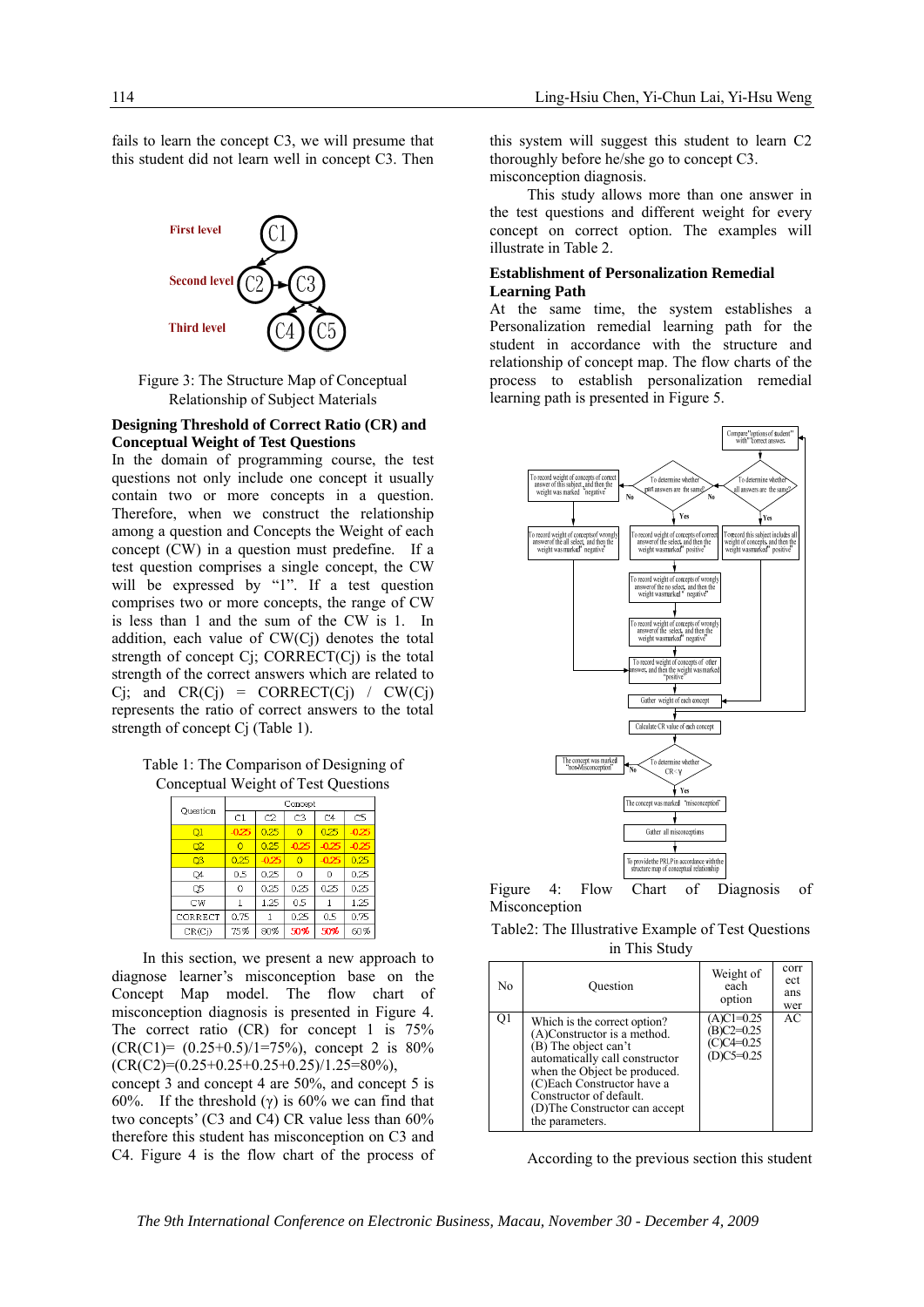fails to learn the concept C3, we will presume that this student did not learn well in concept C3. Then



Figure 3: The Structure Map of Conceptual Relationship of Subject Materials

## **Designing Threshold of Correct Ratio (CR) and Conceptual Weight of Test Questions**

In the domain of programming course, the test questions not only include one concept it usually contain two or more concepts in a question. Therefore, when we construct the relationship among a question and Concepts the Weight of each concept (CW) in a question must predefine. If a test question comprises a single concept, the CW will be expressed by "1". If a test question comprises two or more concepts, the range of CW is less than 1 and the sum of the CW is 1. In addition, each value of CW(Cj) denotes the total strength of concept  $C_j$ ; CORRECT $(C_j)$  is the total strength of the correct answers which are related to  $Ci$ ; and  $CR(Ci) = CORRECT(Ci) / CW(Ci)$ represents the ratio of correct answers to the total strength of concept Cj (Table 1).

Table 1: The Comparison of Designing of Conceptual Weight of Test Questions

| Ouestion                  | Concept |         |                |         |                |  |  |
|---------------------------|---------|---------|----------------|---------|----------------|--|--|
|                           | C1      | C2      | C <sub>3</sub> | C4      | C <sub>5</sub> |  |  |
| $\overline{\mathrm{o}}$ 1 | $-0.25$ | 0.25    | Ō              | 0.25    | $-0.25$        |  |  |
| O2                        | Ō       | 0.25    | $-0.25$        | $-0.25$ | $-0.25$        |  |  |
| O <sup>3</sup>            | 0.25    | $-0.25$ | Ō              | $-0.25$ | 0.25           |  |  |
| O4                        | 0.5     | 0.25    | 0              | 0       | 0.25           |  |  |
| O5                        | 0       | 0.25    | 0.25           | 0.25    | 0.25           |  |  |
| CW                        |         | 1.25    | 0.5            |         | 1.25           |  |  |
| CORRECT                   | 0.75    |         | 0.25           | 0.5     | 0.75           |  |  |
| CR(Cj)                    | 75%     | 80%     | 50%            | 50%     | 60%            |  |  |

In this section, we present a new approach to diagnose learner's misconception base on the Concept Map model. The flow chart of misconception diagnosis is presented in Figure 4. The correct ratio (CR) for concept 1 is  $75\%$  $(CR(C1)=(0.25+0.5)/1=75\%)$ , concept 2 is 80%  $(CR(C2)=(0.25+0.25+0.25+0.25)/1.25=80\%),$ 

concept 3 and concept 4 are 50%, and concept 5 is 60%. If the threshold (γ) is 60% we can find that two concepts' (C3 and C4) CR value less than 60% therefore this student has misconception on C3 and C4. Figure 4 is the flow chart of the process of

this system will suggest this student to learn C2 thoroughly before he/she go to concept C3. misconception diagnosis.

This study allows more than one answer in the test questions and different weight for every concept on correct option. The examples will illustrate in Table 2.

#### **Establishment of Personalization Remedial Learning Path**

At the same time, the system establishes a Personalization remedial learning path for the student in accordance with the structure and relationship of concept map. The flow charts of the process to establish personalization remedial learning path is presented in Figure 5.





Table2: The Illustrative Example of Test Questions in This Study

| No | Question                                                                                                                                                                                                                                                            | Weight of<br>each<br>option                               | corr<br>ect<br>ans<br>wer |
|----|---------------------------------------------------------------------------------------------------------------------------------------------------------------------------------------------------------------------------------------------------------------------|-----------------------------------------------------------|---------------------------|
| Qī | Which is the correct option?<br>(A)Constructor is a method.<br>(B) The object can't<br>automatically call constructor<br>when the Object be produced.<br>(C)Each Constructor have a<br>Constructor of default.<br>(D) The Constructor can accept<br>the parameters. | $(A)Cl = 0.25$<br>$B)C2=0.25$<br>C)C4=0.25<br>$D)C5=0.25$ | AC                        |

According to the previous section this student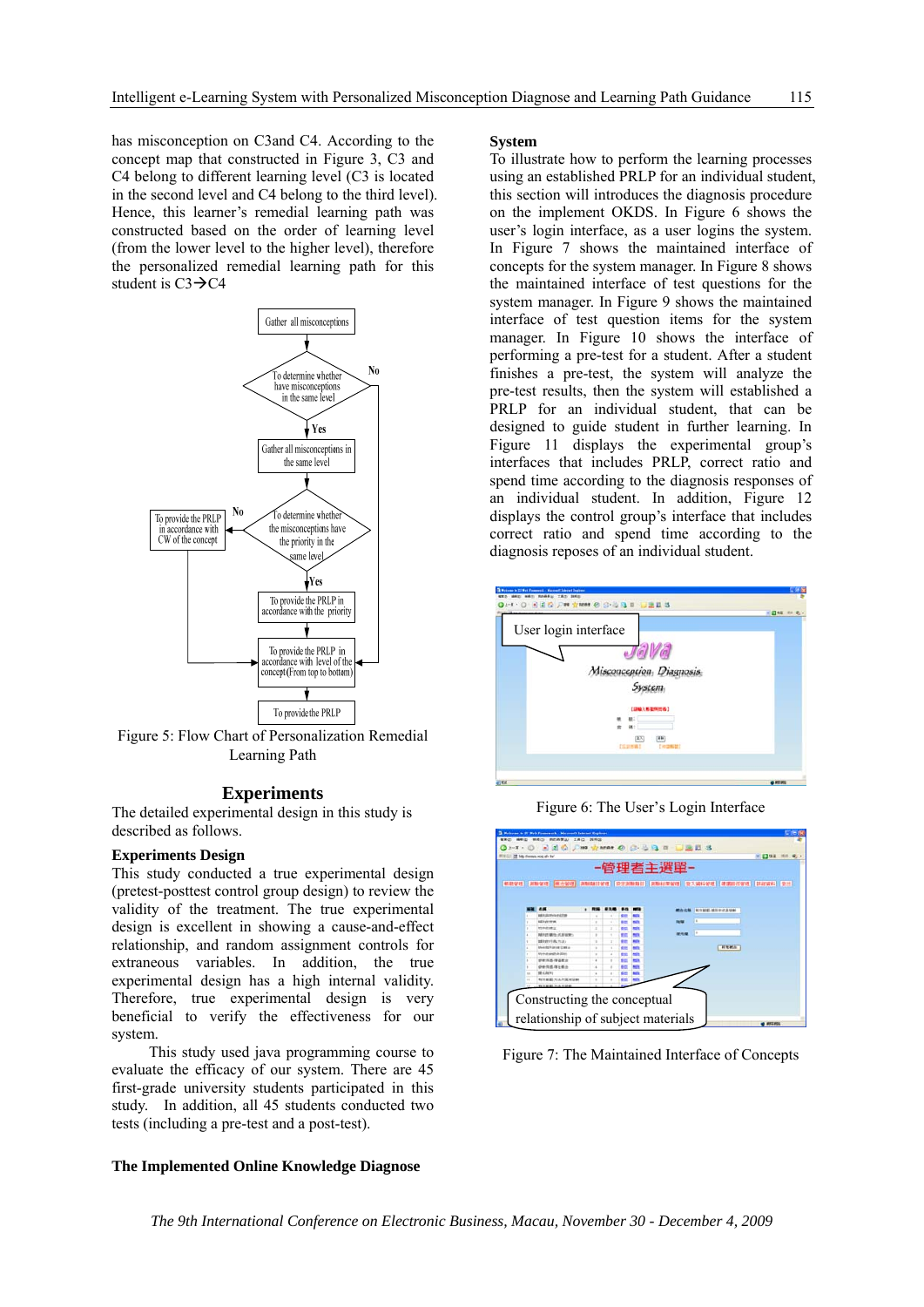has misconception on C3and C4. According to the concept map that constructed in Figure 3, C3 and C4 belong to different learning level (C3 is located in the second level and C4 belong to the third level). Hence, this learner's remedial learning path was constructed based on the order of learning level (from the lower level to the higher level), therefore the personalized remedial learning path for this student is  $C3 \rightarrow C4$ 



Figure 5: Flow Chart of Personalization Remedial Learning Path

### **Experiments**

The detailed experimental design in this study is described as follows.

## **Experiments Design**

This study conducted a true experimental design (pretest-posttest control group design) to review the validity of the treatment. The true experimental design is excellent in showing a cause-and-effect relationship, and random assignment controls for extraneous variables. In addition, the true experimental design has a high internal validity. Therefore, true experimental design is very beneficial to verify the effectiveness for our system.

This study used java programming course to evaluate the efficacy of our system. There are 45 first-grade university students participated in this study. In addition, all 45 students conducted two tests (including a pre-test and a post-test).

#### **The Implemented Online Knowledge Diagnose**

#### **System**

To illustrate how to perform the learning processes using an established PRLP for an individual student, this section will introduces the diagnosis procedure on the implement OKDS. In Figure 6 shows the user's login interface, as a user logins the system. In Figure 7 shows the maintained interface of concepts for the system manager. In Figure 8 shows the maintained interface of test questions for the system manager. In Figure 9 shows the maintained interface of test question items for the system manager. In Figure 10 shows the interface of performing a pre-test for a student. After a student finishes a pre-test, the system will analyze the pre-test results, then the system will established a PRLP for an individual student, that can be designed to guide student in further learning. In Figure 11 displays the experimental group's interfaces that includes PRLP, correct ratio and spend time according to the diagnosis responses of an individual student. In addition, Figure 12 displays the control group's interface that includes correct ratio and spend time according to the diagnosis reposes of an individual student.



Figure 6: The User's Login Interface



Figure 7: The Maintained Interface of Concepts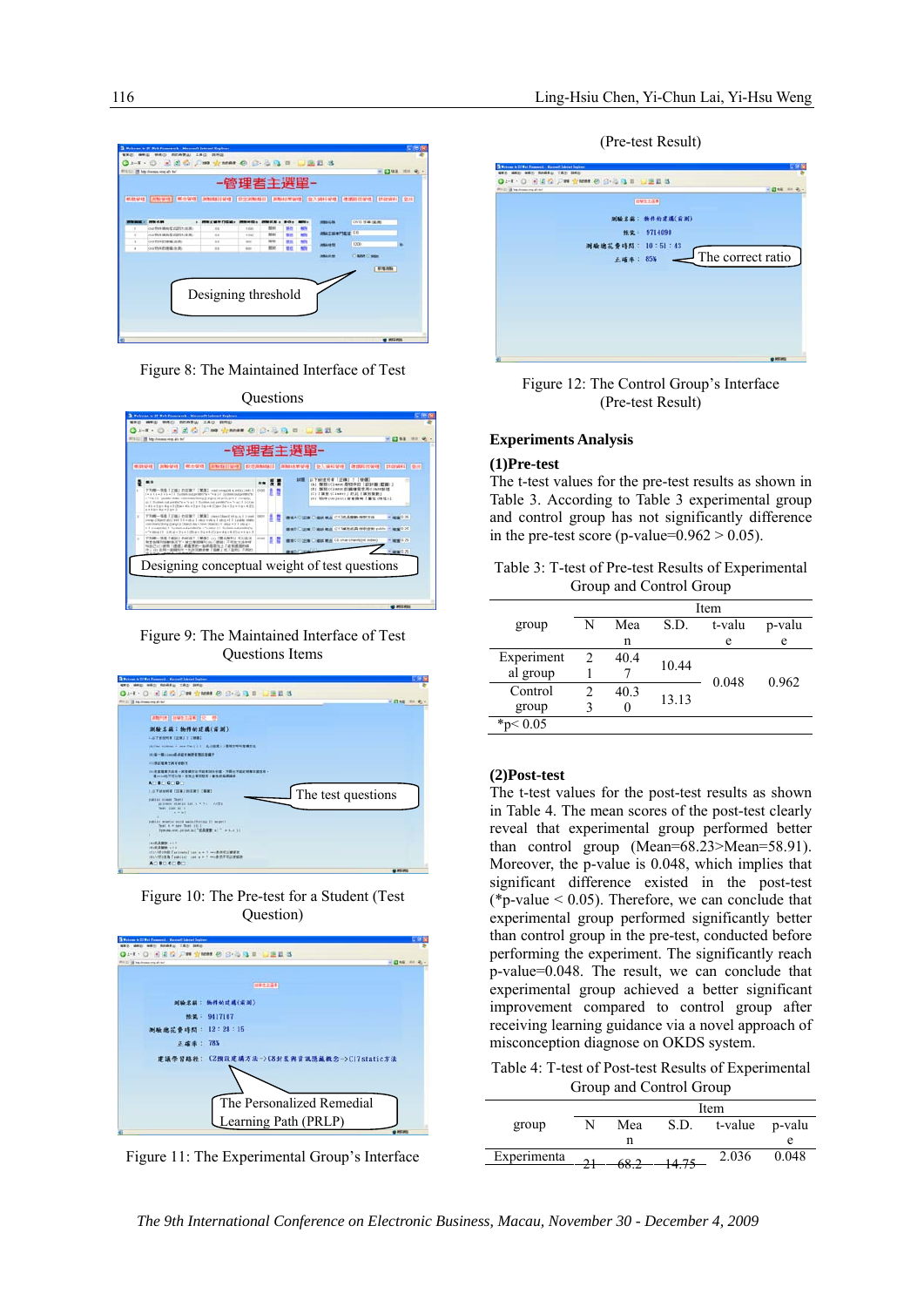

Figure 8: The Maintained Interface of Test



Figure 9: The Maintained Interface of Test Questions Items



Figure 10: The Pre-test for a Student (Test Question)



Figure 11: The Experimental Group's Interface

(Pre-test Result)



Figure 12: The Control Group's Interface (Pre-test Result)

#### **Experiments Analysis**

#### **(1)Pre-test**

The t-test values for the pre-test results as shown in Table 3. According to Table 3 experimental group and control group has not significantly difference in the pre-test score (p-value= $0.962 > 0.05$ ).

Table 3: T-test of Pre-test Results of Experimental Group and Control Group

|              | Item |      |       |        |        |  |
|--------------|------|------|-------|--------|--------|--|
| group        | N    | Mea  | S.D.  | t-valu | p-valu |  |
|              |      | n    |       | e      | e      |  |
| Experiment   |      | 40.4 | 10.44 |        | 0.962  |  |
| al group     |      |      |       | 0.048  |        |  |
| Control      |      | 40.3 | 13.13 |        |        |  |
| group        |      | O    |       |        |        |  |
| * $p < 0.05$ |      |      |       |        |        |  |

## **(2)Post-test**

The t-test values for the post-test results as shown in Table 4. The mean scores of the post-test clearly reveal that experimental group performed better than control group (Mean=68.23>Mean=58.91). Moreover, the p-value is 0.048, which implies that significant difference existed in the post-test (\*p-value  $< 0.05$ ). Therefore, we can conclude that experimental group performed significantly better than control group in the pre-test, conducted before performing the experiment. The significantly reach p-value=0.048. The result, we can conclude that experimental group achieved a better significant improvement compared to control group after receiving learning guidance via a novel approach of misconception diagnose on OKDS system.

Table 4: T-test of Post-test Results of Experimental Group and Control Group

|             | Item        |     |       |         |        |
|-------------|-------------|-----|-------|---------|--------|
| group       |             | Mea | S.D.  | t-value | p-valu |
|             |             | n   |       |         |        |
| Experimenta | $^{\sim}$ 1 | 602 | 14.75 | 2.036   | 0.048  |
|             |             |     | 14.73 |         |        |

*The 9th International Conference on Electronic Business, Macau, November 30 - December 4, 2009*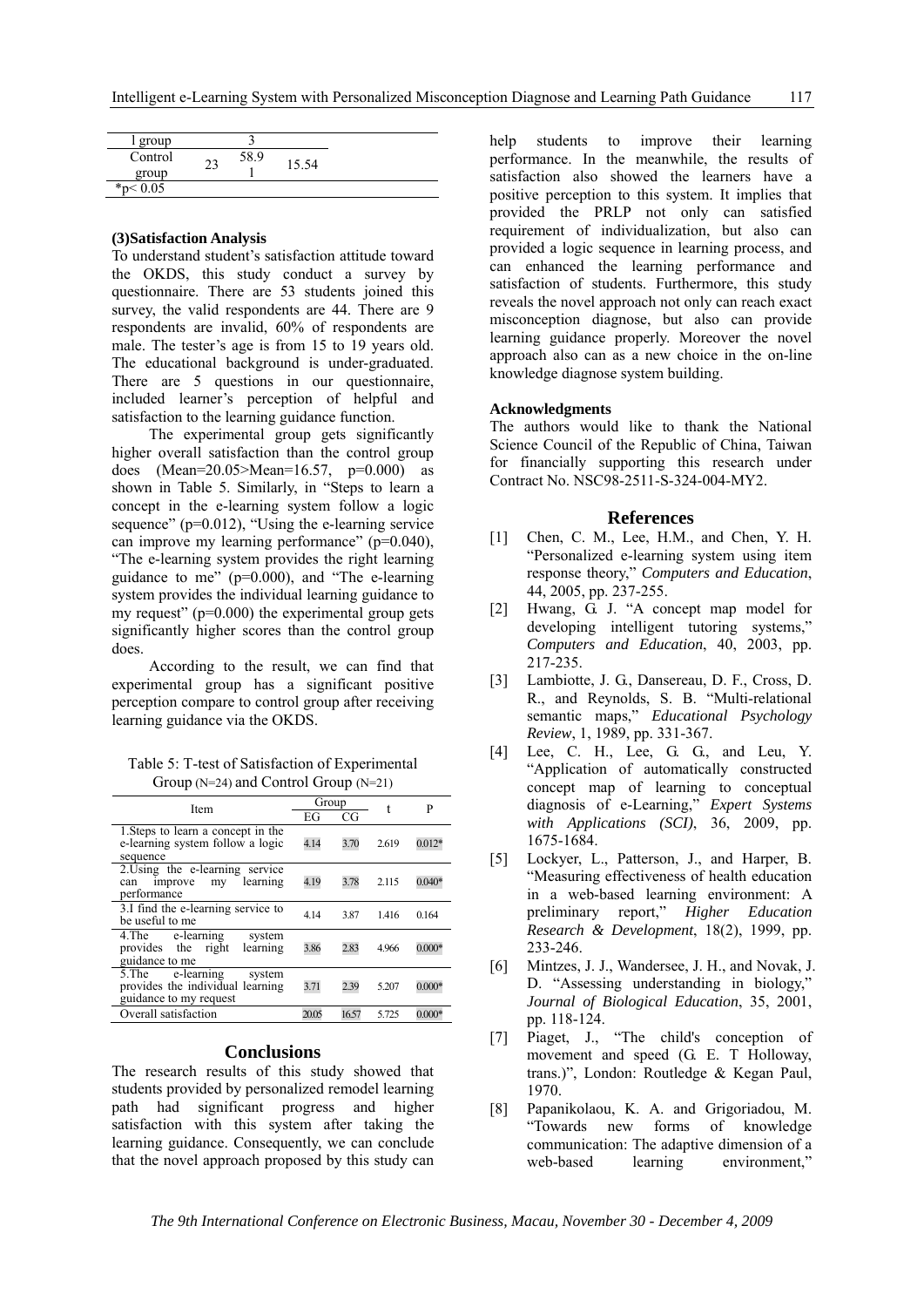| group        |             |      |       |
|--------------|-------------|------|-------|
| Control      | $2^{\circ}$ | 58.9 | 15.54 |
| group        | ۷.          |      |       |
| * $p < 0.05$ |             |      |       |

#### **(3)Satisfaction Analysis**

To understand student's satisfaction attitude toward the OKDS, this study conduct a survey by questionnaire. There are 53 students joined this survey, the valid respondents are 44. There are 9 respondents are invalid, 60% of respondents are male. The tester's age is from 15 to 19 years old. The educational background is under-graduated. There are 5 questions in our questionnaire, included learner's perception of helpful and satisfaction to the learning guidance function.

The experimental group gets significantly higher overall satisfaction than the control group does  $(Mean=20.05>Mean=16.57, p=0.000)$  as shown in Table 5. Similarly, in "Steps to learn a concept in the e-learning system follow a logic sequence" (p=0.012), "Using the e-learning service can improve my learning performance" (p=0.040), "The e-learning system provides the right learning guidance to me" ( $p=0.000$ ), and "The e-learning system provides the individual learning guidance to my request" ( $p=0.000$ ) the experimental group gets significantly higher scores than the control group does.

According to the result, we can find that experimental group has a significant positive perception compare to control group after receiving learning guidance via the OKDS.

Table 5: T-test of Satisfaction of Experimental Group (N=24) and Control Group (N=21)

| Item                                                                                         | Group |       | t     | P        |
|----------------------------------------------------------------------------------------------|-------|-------|-------|----------|
|                                                                                              | EG    | CG    |       |          |
| 1. Steps to learn a concept in the<br>e-learning system follow a logic<br>sequence           | 4.14  | 3.70  | 2619  | $0.012*$ |
| 2. Using the e-learning service<br>learning<br>improve<br>my<br>can<br>performance           | 4.19  | 3.78  | 2.115 | $0.040*$ |
| 3.I find the e-learning service to<br>be useful to me                                        | 4.14  | 3.87  | 1416  | 0.164    |
| e-learning<br>4.The<br>system<br>learning<br>right<br>provides the<br>guidance to me         | 3.86  | 2.83  | 4.966 | $0.000*$ |
| 5. The<br>e-learning<br>system<br>provides the individual learning<br>guidance to my request | 3.71  | 2.39  | 5.207 | $0.000*$ |
| Overall satisfaction                                                                         | 2005  | 16.57 | 5.725 | $0.000*$ |

### **Conclusions**

The research results of this study showed that students provided by personalized remodel learning path had significant progress and higher satisfaction with this system after taking the learning guidance. Consequently, we can conclude that the novel approach proposed by this study can help students to improve their learning performance. In the meanwhile, the results of satisfaction also showed the learners have a positive perception to this system. It implies that provided the PRLP not only can satisfied requirement of individualization, but also can provided a logic sequence in learning process, and can enhanced the learning performance and satisfaction of students. Furthermore, this study reveals the novel approach not only can reach exact misconception diagnose, but also can provide learning guidance properly. Moreover the novel approach also can as a new choice in the on-line knowledge diagnose system building.

#### **Acknowledgments**

The authors would like to thank the National Science Council of the Republic of China, Taiwan for financially supporting this research under Contract No. NSC98-2511-S-324-004-MY2.

#### **References**

- [1] Chen, C. M., Lee, H.M., and Chen, Y. H. "Personalized e-learning system using item response theory," *Computers and Education*, 44, 2005, pp. 237-255.
- [2] Hwang, G. J. "A concept map model for developing intelligent tutoring systems," *Computers and Education*, 40, 2003, pp. 217-235.
- [3] Lambiotte, J. G., Dansereau, D. F., Cross, D. R., and Reynolds, S. B. "Multi-relational semantic maps," *Educational Psychology Review*, 1, 1989, pp. 331-367.
- [4] Lee, C. H., Lee, G. G., and Leu, Y. "Application of automatically constructed concept map of learning to conceptual diagnosis of e-Learning," *Expert Systems with Applications (SCI)*, 36, 2009, pp. 1675-1684.
- [5] Lockyer, L., Patterson, J., and Harper, B. "Measuring effectiveness of health education in a web-based learning environment: A preliminary report," *Higher Education Research & Development*, 18(2), 1999, pp. 233-246.
- [6] Mintzes, J. J., Wandersee, J. H., and Novak, J. D. "Assessing understanding in biology," *Journal of Biological Education*, 35, 2001, pp. 118-124.
- [7] Piaget, J., "The child's conception of movement and speed (G. E. T Holloway, trans.)", London: Routledge & Kegan Paul, 1970.
- [8] Papanikolaou, K. A. and Grigoriadou, M. "Towards new forms of knowledge communication: The adaptive dimension of a web-based learning environment,"